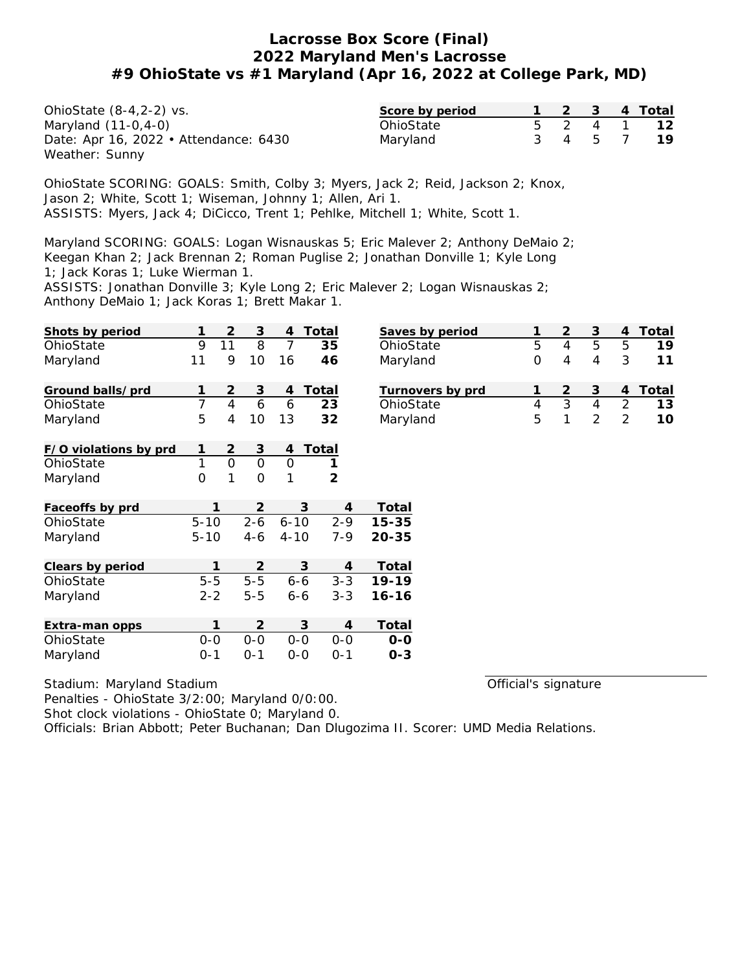OhioState (8-4,2-2) vs. Maryland (11-0,4-0) Date: Apr 16, 2022 • Attendance: 6430 Weather: Sunny

| Score by period |  |   | 4 Total |
|-----------------|--|---|---------|
| OhioState       |  |   |         |
| Maryland        |  | h |         |

OhioState SCORING: GOALS: Smith, Colby 3; Myers, Jack 2; Reid, Jackson 2; Knox, Jason 2; White, Scott 1; Wiseman, Johnny 1; Allen, Ari 1. ASSISTS: Myers, Jack 4; DiCicco, Trent 1; Pehlke, Mitchell 1; White, Scott 1.

Maryland SCORING: GOALS: Logan Wisnauskas 5; Eric Malever 2; Anthony DeMaio 2; Keegan Khan 2; Jack Brennan 2; Roman Puglise 2; Jonathan Donville 1; Kyle Long 1; Jack Koras 1; Luke Wierman 1.

ASSISTS: Jonathan Donville 3; Kyle Long 2; Eric Malever 2; Logan Wisnauskas 2; Anthony DeMaio 1; Jack Koras 1; Brett Makar 1.

| Shots by period       | 1              | 2  | 3              | 4        | Total               | <b>Saves</b>      |
|-----------------------|----------------|----|----------------|----------|---------------------|-------------------|
| OhioState             | 9              | 11 | 8              | 7        | 35                  | Ohio <sub>S</sub> |
| Maryland              | 11             | 9  | 10             | 16       | 46                  | Maryl             |
| Ground balls/prd      | 1              | 2  | 3              | 4        | Total               | Turno             |
| OhioState             | $\overline{7}$ | 4  | 6              | 6        | 23                  | Ohio <sub>S</sub> |
| Maryland              | 5              | 4  | 10             | 13       | 32                  | Maryl             |
| F/O violations by prd | 1              | 2  | 3              | 4        | Total               |                   |
| OhioState             | 1              | 0  | $\Omega$       | 0        | 1                   |                   |
| Maryland              | 0              | 1  | 0              | 1        | 2                   |                   |
| Faceoffs by prd       | 1              |    | $\overline{2}$ |          | 3<br>4              | Total             |
| OhioState             | $5 - 10$       |    | $2 - 6$        | $6 - 10$ | $2 - 9$             | $15 - 35$         |
| Maryland              | $5 - 10$       |    | 4-6            | $4 - 10$ | $7 - 9$             | $20 - 35$         |
| Clears by period      | 1              |    | $\overline{2}$ |          | 3<br>4              | Total             |
| OhioState             | $5-5$          |    | $5 - 5$        |          | $6 - 6$<br>$3 - 3$  | 19-19             |
| Maryland              | $2 - 2$        |    | $5 - 5$        | $6 - 6$  | $3 - 3$             | $16 - 16$         |
| Extra-man opps        | 1              |    | $\overline{2}$ |          | 3<br>$\overline{4}$ | Total             |
| OhioState             | $0-0$          |    | $O-O$          | $0-0$    | $0-0$               | $O-O$             |
| Maryland              | $0 - 1$        |    | $0 - 1$        | $0 - 0$  | $0 - 1$             | $0 - 3$           |

| Saves by period  |   |   |   | Total |
|------------------|---|---|---|-------|
| OhioState        | 5 | h | h |       |
| Maryland         | 0 |   | 3 |       |
| Turnovers by prd |   | 3 |   | Total |
| OhioState        |   |   | 2 | 1 3   |
| Maryland         | 5 |   |   |       |

Stadium: Maryland Stadium

Official's signature

Penalties - OhioState 3/2:00; Maryland 0/0:00.

Shot clock violations - OhioState 0; Maryland 0.

Officials: Brian Abbott; Peter Buchanan; Dan Dlugozima II. Scorer: UMD Media Relations.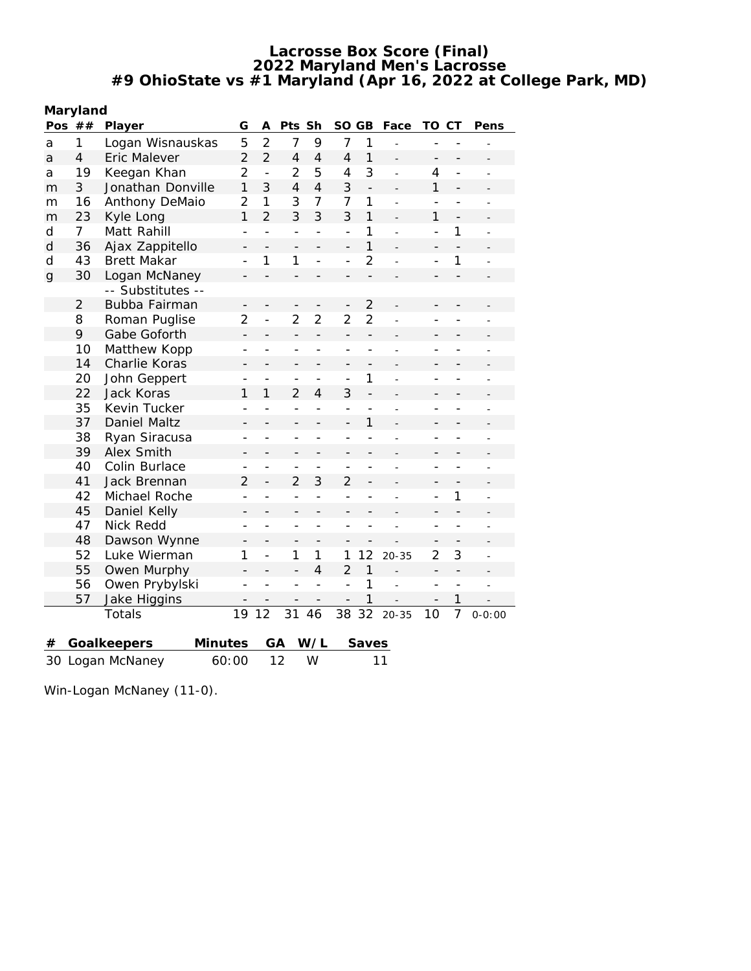| Maryland |  |
|----------|--|
|----------|--|

|              | ma yiunu<br>Pos $##$<br>Player |                        |                          |                | Pts Sh                   |                          | SO GB                    |                | Face           | TO                       | СT             | Pens       |
|--------------|--------------------------------|------------------------|--------------------------|----------------|--------------------------|--------------------------|--------------------------|----------------|----------------|--------------------------|----------------|------------|
| a            | 1                              | Logan Wisnauskas       | 5                        | $\overline{2}$ | $\overline{7}$           | 9                        | $\overline{7}$           | 1              |                |                          |                |            |
| a            | 4                              | Eric Malever           | $\overline{2}$           | $\overline{2}$ | $\overline{4}$           | $\overline{4}$           | $\overline{4}$           | $\mathbf{1}$   |                | $\overline{\phantom{0}}$ |                |            |
| a            | 19                             | Keegan Khan            | $\overline{2}$           | $\overline{a}$ | $\overline{2}$           | 5                        | 4                        | 3              | $\overline{a}$ | 4                        | $\overline{a}$ |            |
| m            | 3                              | Jonathan Donville      | $\mathbf{1}$             | 3              | $\overline{4}$           | $\overline{4}$           | 3                        | $\overline{a}$ |                | $\mathbf{1}$             |                |            |
| m            | 16                             | Anthony DeMaio         | $\overline{2}$           | 1              | 3                        | $\overline{7}$           | 7                        | $\mathbf{1}$   |                | $\overline{a}$           |                |            |
| m            | 23                             | Kyle Long              | $\mathbf{1}$             | $\overline{2}$ | 3                        | 3                        | 3                        | $\mathbf{1}$   |                | 1                        | $\overline{a}$ |            |
| d            | 7                              | Matt Rahill            | $\overline{a}$           | $\overline{a}$ | $\overline{a}$           | $\overline{a}$           | $\overline{\phantom{0}}$ | $\mathbf{1}$   |                | $\overline{a}$           | 1              |            |
| $\mathsf{d}$ | 36                             | Ajax Zappitello        | $\overline{\phantom{0}}$ |                | $\overline{\phantom{0}}$ |                          | $\overline{\phantom{0}}$ | $\mathbf{1}$   |                | $\overline{\phantom{m}}$ |                |            |
| d            | 43                             | <b>Brett Makar</b>     |                          | 1              | 1                        | $\overline{a}$           | $\overline{a}$           | $\overline{2}$ |                | $\overline{a}$           | 1              |            |
| $\mathsf{g}$ | 30                             | Logan McNaney          |                          |                | $\overline{a}$           |                          | $\overline{\phantom{0}}$ |                |                |                          |                |            |
|              |                                | -- Substitutes --      |                          |                |                          |                          |                          |                |                |                          |                |            |
|              | $\overline{2}$                 | Bubba Fairman          |                          |                |                          |                          | $\overline{\phantom{0}}$ | $\overline{2}$ |                |                          |                |            |
|              | 8                              | Roman Puglise          | $\overline{2}$           | $\overline{a}$ | $\overline{2}$           | $\overline{2}$           | $\overline{2}$           | $\overline{2}$ |                |                          |                |            |
|              | 9                              | Gabe Goforth           | $\overline{\phantom{0}}$ |                | $\overline{\phantom{0}}$ | $\overline{\phantom{0}}$ | $\qquad \qquad -$        | $\overline{a}$ |                | $\overline{\phantom{0}}$ |                |            |
|              | 10                             | Matthew Kopp           | $\overline{a}$           |                | $\overline{\phantom{0}}$ | $\overline{a}$           | $\overline{a}$           |                |                | $\overline{a}$           |                |            |
|              | 14                             | Charlie Koras          | -                        |                | -                        | $\overline{\phantom{0}}$ | $\overline{a}$           |                |                | $\overline{a}$           |                |            |
|              | 20                             | John Geppert           |                          |                | $\overline{a}$           | $\overline{a}$           | $\overline{a}$           | 1              |                | $\overline{a}$           | $\overline{a}$ |            |
|              | 22                             | Jack Koras             | 1                        | 1              | $\overline{2}$           | $\overline{4}$           | 3                        | $\overline{a}$ |                | $\qquad \qquad -$        |                |            |
|              | 35                             | Kevin Tucker           | $\overline{a}$           | $\overline{a}$ | $\overline{a}$           | $\overline{a}$           | $\overline{a}$           |                |                | L.                       | $\overline{a}$ |            |
|              | 37                             | Daniel Maltz           | -                        |                | -                        |                          | $\overline{a}$           | 1              |                | $\overline{\phantom{0}}$ |                |            |
|              | 38                             | Ryan Siracusa          | $\overline{a}$           |                | $\overline{a}$           | $\overline{a}$           | $\overline{a}$           | $\overline{a}$ |                | $\overline{a}$           | $\overline{a}$ |            |
|              | 39                             | Alex Smith             | $\overline{\phantom{0}}$ |                | $\overline{\phantom{0}}$ |                          | $\overline{\phantom{0}}$ |                |                | -                        |                |            |
|              | 40                             | Colin Burlace          | $\overline{a}$           |                | $\overline{a}$           | $\overline{a}$           | $\overline{a}$           | $\overline{a}$ |                | $\overline{a}$           | $\overline{a}$ |            |
|              | 41                             | Jack Brennan           | $\overline{2}$           |                | $\overline{2}$           | 3                        | $\overline{2}$           |                |                | $\overline{\phantom{0}}$ |                |            |
|              | 42                             | Michael Roche          | $\overline{a}$           |                | $\overline{a}$           | $\overline{a}$           | $\overline{a}$           |                |                | $\overline{a}$           | 1              |            |
|              | 45                             | Daniel Kelly           | $\overline{\phantom{0}}$ |                | $\overline{\phantom{0}}$ |                          | $\overline{a}$           |                |                |                          |                |            |
|              | 47                             | Nick Redd              | $\overline{a}$           | $\overline{a}$ | $\overline{a}$           |                          | $\overline{a}$           |                |                | $\overline{a}$           | $\overline{a}$ |            |
|              | 48                             | Dawson Wynne           | $\overline{\phantom{0}}$ |                | $\overline{\phantom{0}}$ |                          |                          |                |                |                          |                |            |
|              | 52                             | Luke Wierman           | 1                        | $\overline{a}$ | 1                        | 1                        | 1                        | 12             | $20 - 35$      | $\overline{2}$           | 3              |            |
|              | 55                             | Owen Murphy            | $\overline{\phantom{0}}$ |                | $\overline{a}$           | $\overline{4}$           | $\overline{2}$           | $\mathbf{1}$   |                | $\qquad \qquad -$        |                |            |
|              | 56                             | Owen Prybylski         | $\overline{a}$           |                | $\overline{a}$           | $\overline{a}$           | $\overline{a}$           | 1              | $\overline{a}$ | $\overline{a}$           | $\overline{a}$ |            |
|              | 57                             | Jake Higgins           |                          |                |                          |                          | $\overline{\phantom{0}}$ | 1              |                |                          | 1              |            |
|              |                                | Totals                 | 19                       | 12             | 31                       | 46                       | 38                       | 32             | $20 - 35$      | 10                       | $\overline{7}$ | $0 - 0:00$ |
|              |                                |                        |                          |                |                          |                          |                          |                |                |                          |                |            |
| #            |                                | Minutes<br>Goalkeepers |                          | GА             |                          | W/L                      |                          | Saves          |                |                          |                |            |
|              |                                | 30 Logan McNaney       | 60:00                    |                | 12                       | W                        |                          |                | 11             |                          |                |            |

Win-Logan McNaney (11-0).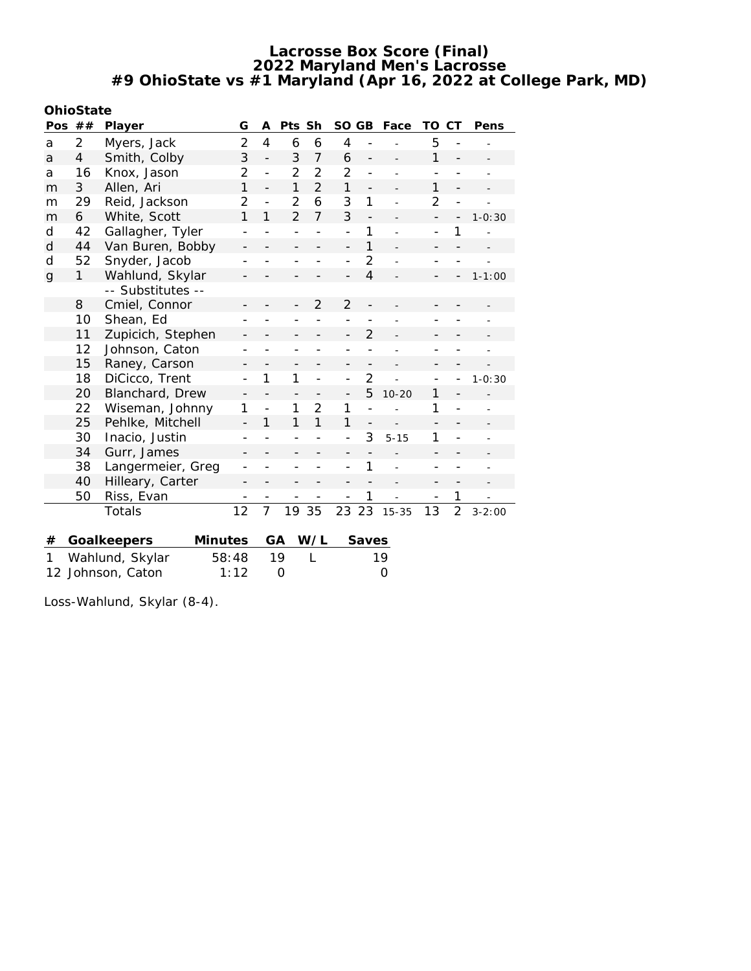| OhioState |  |
|-----------|--|
|           |  |

| Pos          | ##                       | Player                        | G                        | Α              | Pts Sh         |                | SO GB                    |                          | Face      | TO                       | СT                       | Pens       |
|--------------|--------------------------|-------------------------------|--------------------------|----------------|----------------|----------------|--------------------------|--------------------------|-----------|--------------------------|--------------------------|------------|
| a            | 2                        | Myers, Jack                   | $\overline{2}$           | $\overline{4}$ | 6              | 6              | $\overline{4}$           |                          |           | 5                        |                          |            |
| a            | 4                        | Smith, Colby                  |                          | $\overline{a}$ | 3              | $\overline{7}$ | 6                        | $\overline{a}$           |           | 1                        | $\overline{a}$           |            |
| a            | 16                       | Knox, Jason                   | 2                        | $\overline{a}$ | $\overline{2}$ | $\overline{2}$ | $\overline{2}$           | $\overline{a}$           |           | $\overline{a}$           |                          |            |
| m            | 3                        | Allen, Ari                    | 1                        | $\overline{a}$ | 1              | $\overline{2}$ | 1                        | $\overline{\phantom{m}}$ |           | 1                        |                          |            |
| m            | 29                       | Reid, Jackson                 | 2                        | $\overline{a}$ | $\overline{2}$ | 6              | 3                        | 1                        |           | $\overline{2}$           |                          |            |
| m            | 6                        | White, Scott                  | $\mathbf{1}$             | 1              | $\overline{2}$ | $\overline{7}$ | 3                        | $\overline{a}$           |           | $\overline{\phantom{m}}$ |                          | $1 - 0:30$ |
| d            | 42                       | Gallagher, Tyler              |                          |                |                |                | $\overline{a}$           | 1                        |           | $\overline{\phantom{a}}$ | 1                        |            |
| d            | 44                       | Van Buren, Bobby              | $\qquad \qquad -$        |                |                |                | $\overline{\phantom{0}}$ | 1                        |           |                          |                          |            |
| d            | 52                       | Snyder, Jacob                 |                          |                |                |                | $\overline{a}$           | $\overline{2}$           |           |                          |                          |            |
| $\mathsf{g}$ | 1                        | Wahlund, Skylar               |                          |                |                |                | $\overline{a}$           | $\overline{4}$           |           | $\overline{\phantom{0}}$ |                          | $1 - 1:00$ |
|              |                          | -- Substitutes --             |                          |                |                |                |                          |                          |           |                          |                          |            |
|              | 8                        | Cmiel, Connor                 |                          |                |                | $\overline{2}$ | $\overline{2}$           |                          |           |                          |                          |            |
|              | 10                       | Shean, Ed                     |                          |                |                |                |                          |                          |           |                          |                          |            |
|              | 11                       | Zupicich, Stephen             |                          |                |                |                | $\overline{a}$           | $\overline{2}$           |           |                          |                          |            |
|              | 12                       | Johnson, Caton                |                          |                |                |                |                          |                          |           |                          |                          |            |
|              | 15                       | Raney, Carson                 |                          |                |                |                |                          |                          |           |                          |                          |            |
|              | 18                       | DiCicco, Trent                | $\overline{\phantom{0}}$ | 1              | 1              | $\overline{a}$ | $\overline{\phantom{0}}$ | $\overline{2}$           |           |                          |                          | $1 - 0:30$ |
|              | 20                       | Blanchard, Drew               | $\overline{\phantom{m}}$ |                |                |                | $\overline{a}$           | 5                        | $10 - 20$ | 1                        |                          |            |
|              | 22                       | Wiseman, Johnny               | 1                        | $\overline{a}$ | 1              | $\overline{2}$ | 1                        |                          |           | 1                        |                          |            |
|              | 25                       | Pehlke, Mitchell              |                          | 1              | 1              | 1              | 1                        |                          |           |                          |                          |            |
|              | 30                       | Inacio, Justin                |                          |                |                |                |                          | 3                        | $5 - 15$  | 1                        |                          |            |
|              | 34                       | Gurr, James                   |                          |                |                |                | $\overline{\phantom{0}}$ |                          |           | $\overline{a}$           |                          |            |
|              | 38                       | Langermeier, Greg             |                          |                |                |                |                          | 1                        |           |                          |                          |            |
|              | 40                       | Hilleary, Carter              | $\overline{\phantom{0}}$ |                |                |                |                          |                          |           | $\overline{\phantom{0}}$ | $\overline{\phantom{0}}$ |            |
|              | 50                       | Riss, Evan                    |                          |                |                |                |                          | 1                        |           |                          | 1                        |            |
|              |                          | Totals                        | 12                       | $\overline{7}$ | 19             | 35             | 23                       | 23                       | $15 - 35$ | 13                       | $\overline{2}$           | $3 - 2:00$ |
|              |                          |                               |                          |                |                |                |                          |                          |           |                          |                          |            |
| #            |                          | Goalkeepers<br><b>Minutes</b> |                          | GA             |                | W/L            |                          | Saves                    |           |                          |                          |            |
| 1            | Wahlund, Skylar<br>58:48 |                               |                          | 19             | L              |                |                          | 19                       |           |                          |                          |            |

12 Johnson, Caton 1:12 0 0

Loss-Wahlund, Skylar (8-4).